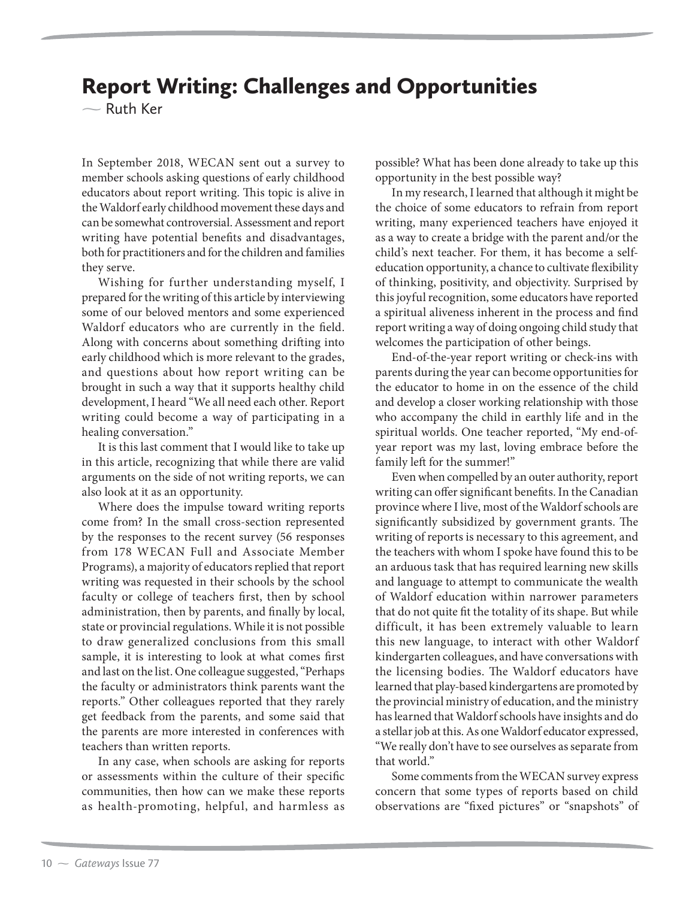## Report Writing: Challenges and Opportunities

 $\sim$  Ruth Ker

In September 2018, WECAN sent out a survey to member schools asking questions of early childhood educators about report writing. This topic is alive in the Waldorf early childhood movement these days and can be somewhat controversial. Assessment and report writing have potential benefits and disadvantages, both for practitioners and for the children and families they serve.

Wishing for further understanding myself, I prepared for the writing of this article by interviewing some of our beloved mentors and some experienced Waldorf educators who are currently in the field. Along with concerns about something drifting into early childhood which is more relevant to the grades, and questions about how report writing can be brought in such a way that it supports healthy child development, I heard "We all need each other. Report writing could become a way of participating in a healing conversation."

It is this last comment that I would like to take up in this article, recognizing that while there are valid arguments on the side of not writing reports, we can also look at it as an opportunity.

Where does the impulse toward writing reports come from? In the small cross-section represented by the responses to the recent survey (56 responses from 178 WECAN Full and Associate Member Programs), a majority of educators replied that report writing was requested in their schools by the school faculty or college of teachers first, then by school administration, then by parents, and finally by local, state or provincial regulations. While it is not possible to draw generalized conclusions from this small sample, it is interesting to look at what comes first and last on the list. One colleague suggested, "Perhaps the faculty or administrators think parents want the reports." Other colleagues reported that they rarely get feedback from the parents, and some said that the parents are more interested in conferences with teachers than written reports.

In any case, when schools are asking for reports or assessments within the culture of their specific communities, then how can we make these reports as health-promoting, helpful, and harmless as

possible? What has been done already to take up this opportunity in the best possible way?

In my research, I learned that although it might be the choice of some educators to refrain from report writing, many experienced teachers have enjoyed it as a way to create a bridge with the parent and/or the child's next teacher. For them, it has become a selfeducation opportunity, a chance to cultivate flexibility of thinking, positivity, and objectivity. Surprised by this joyful recognition, some educators have reported a spiritual aliveness inherent in the process and find report writing a way of doing ongoing child study that welcomes the participation of other beings.

End-of-the-year report writing or check-ins with parents during the year can become opportunities for the educator to home in on the essence of the child and develop a closer working relationship with those who accompany the child in earthly life and in the spiritual worlds. One teacher reported, "My end-ofyear report was my last, loving embrace before the family left for the summer!"

Even when compelled by an outer authority, report writing can offer significant benefits. In the Canadian province where I live, most of the Waldorf schools are significantly subsidized by government grants. The writing of reports is necessary to this agreement, and the teachers with whom I spoke have found this to be an arduous task that has required learning new skills and language to attempt to communicate the wealth of Waldorf education within narrower parameters that do not quite fit the totality of its shape. But while difficult, it has been extremely valuable to learn this new language, to interact with other Waldorf kindergarten colleagues, and have conversations with the licensing bodies. The Waldorf educators have learned that play-based kindergartens are promoted by the provincial ministry of education, and the ministry has learned that Waldorf schools have insights and do a stellar job at this. As one Waldorf educator expressed, "We really don't have to see ourselves as separate from that world."

Some comments from the WECAN survey express concern that some types of reports based on child observations are "fixed pictures" or "snapshots" of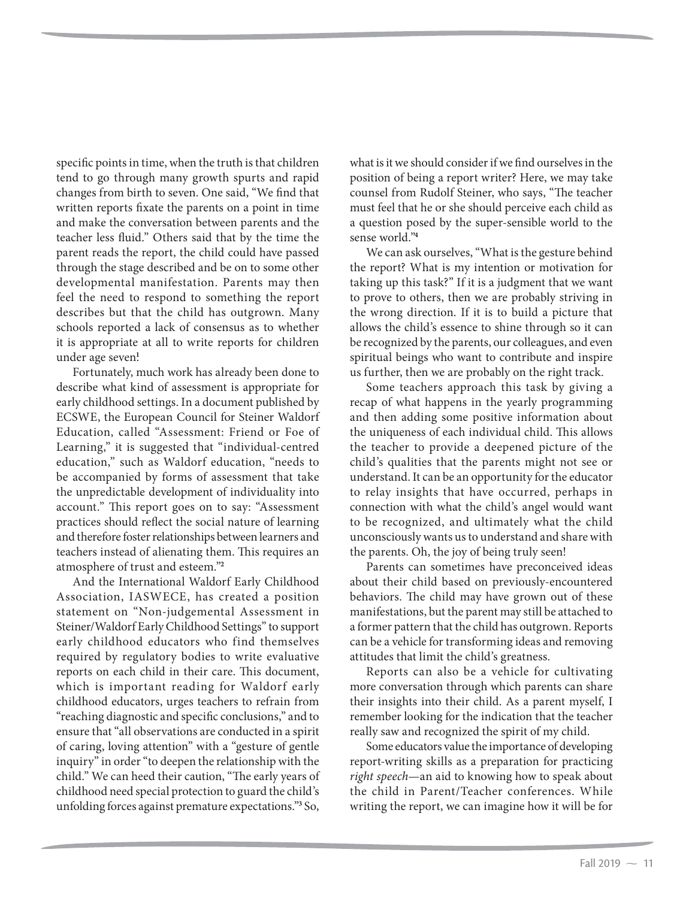specific points in time, when the truth is that children tend to go through many growth spurts and rapid changes from birth to seven. One said, "We find that written reports fixate the parents on a point in time and make the conversation between parents and the teacher less fluid." Others said that by the time the parent reads the report, the child could have passed through the stage described and be on to some other developmental manifestation. Parents may then feel the need to respond to something the report describes but that the child has outgrown. Many schools reported a lack of consensus as to whether it is appropriate at all to write reports for children under age seven<sup>1</sup>

Fortunately, much work has already been done to describe what kind of assessment is appropriate for early childhood settings. In a document published by ECSWE, the European Council for Steiner Waldorf Education, called "Assessment: Friend or Foe of Learning," it is suggested that "individual-centred education," such as Waldorf education, "needs to be accompanied by forms of assessment that take the unpredictable development of individuality into account." This report goes on to say: "Assessment practices should reflect the social nature of learning and therefore foster relationships between learners and teachers instead of alienating them. This requires an atmosphere of trust and esteem."**<sup>2</sup>**

And the International Waldorf Early Childhood Association, IASWECE, has created a position statement on "Non-judgemental Assessment in Steiner/Waldorf Early Childhood Settings" to support early childhood educators who find themselves required by regulatory bodies to write evaluative reports on each child in their care. This document, which is important reading for Waldorf early childhood educators, urges teachers to refrain from "reaching diagnostic and specific conclusions," and to ensure that "all observations are conducted in a spirit of caring, loving attention" with a "gesture of gentle inquiry" in order "to deepen the relationship with the child." We can heed their caution, "The early years of childhood need special protection to guard the child's unfolding forces against premature expectations."**<sup>3</sup>** So, what is it we should consider if we find ourselves in the position of being a report writer? Here, we may take counsel from Rudolf Steiner, who says, "The teacher must feel that he or she should perceive each child as a question posed by the super-sensible world to the sense world."**<sup>4</sup>**

We can ask ourselves, "What is the gesture behind the report? What is my intention or motivation for taking up this task?" If it is a judgment that we want to prove to others, then we are probably striving in the wrong direction. If it is to build a picture that allows the child's essence to shine through so it can be recognized by the parents, our colleagues, and even spiritual beings who want to contribute and inspire us further, then we are probably on the right track.

Some teachers approach this task by giving a recap of what happens in the yearly programming and then adding some positive information about the uniqueness of each individual child. This allows the teacher to provide a deepened picture of the child's qualities that the parents might not see or understand. It can be an opportunity for the educator to relay insights that have occurred, perhaps in connection with what the child's angel would want to be recognized, and ultimately what the child unconsciously wants us to understand and share with the parents. Oh, the joy of being truly seen!

Parents can sometimes have preconceived ideas about their child based on previously-encountered behaviors. The child may have grown out of these manifestations, but the parent may still be attached to a former pattern that the child has outgrown. Reports can be a vehicle for transforming ideas and removing attitudes that limit the child's greatness.

Reports can also be a vehicle for cultivating more conversation through which parents can share their insights into their child. As a parent myself, I remember looking for the indication that the teacher really saw and recognized the spirit of my child.

Some educators value the importance of developing report-writing skills as a preparation for practicing right speech—an aid to knowing how to speak about the child in Parent/Teacher conferences. While writing the report, we can imagine how it will be for